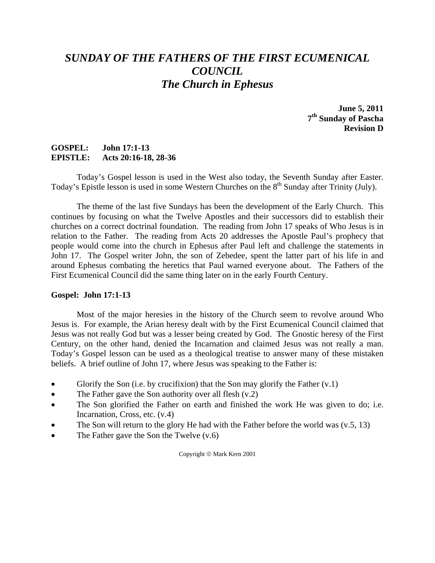# *SUNDAY OF THE FATHERS OF THE FIRST ECUMENICAL COUNCIL The Church in Ephesus*

**June 5, 2011 7th Sunday of Pascha Revision D** 

### **GOSPEL: John 17:1-13 EPISTLE: Acts 20:16-18, 28-36**

 Today's Gospel lesson is used in the West also today, the Seventh Sunday after Easter. Today's Epistle lesson is used in some Western Churches on the 8<sup>th</sup> Sunday after Trinity (July).

 The theme of the last five Sundays has been the development of the Early Church. This continues by focusing on what the Twelve Apostles and their successors did to establish their churches on a correct doctrinal foundation. The reading from John 17 speaks of Who Jesus is in relation to the Father. The reading from Acts 20 addresses the Apostle Paul's prophecy that people would come into the church in Ephesus after Paul left and challenge the statements in John 17. The Gospel writer John, the son of Zebedee, spent the latter part of his life in and around Ephesus combating the heretics that Paul warned everyone about. The Fathers of the First Ecumenical Council did the same thing later on in the early Fourth Century.

### **Gospel: John 17:1-13**

 Most of the major heresies in the history of the Church seem to revolve around Who Jesus is. For example, the Arian heresy dealt with by the First Ecumenical Council claimed that Jesus was not really God but was a lesser being created by God. The Gnostic heresy of the First Century, on the other hand, denied the Incarnation and claimed Jesus was not really a man. Today's Gospel lesson can be used as a theological treatise to answer many of these mistaken beliefs. A brief outline of John 17, where Jesus was speaking to the Father is:

- Glorify the Son (i.e. by crucifixion) that the Son may glorify the Father  $(v,1)$
- The Father gave the Son authority over all flesh (v.2)
- The Son glorified the Father on earth and finished the work He was given to do; i.e. Incarnation, Cross, etc. (v.4)
- The Son will return to the glory He had with the Father before the world was  $(v.5, 13)$
- The Father gave the Son the Twelve (v.6)

Copyright © Mark Kern 2001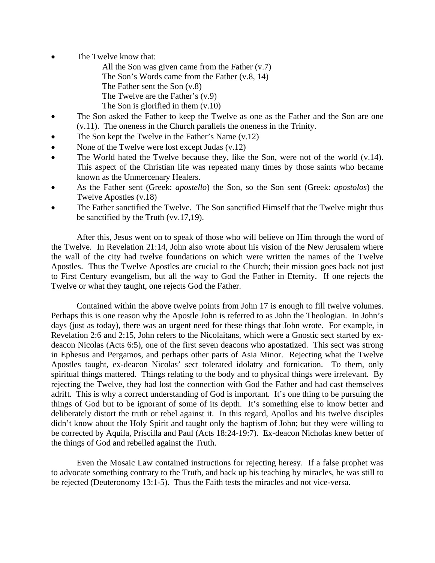- The Twelve know that:
	- All the Son was given came from the Father (v.7)
	- The Son's Words came from the Father (v.8, 14)
	- The Father sent the Son (v.8)
	- The Twelve are the Father's (v.9)
	- The Son is glorified in them (v.10)
- The Son asked the Father to keep the Twelve as one as the Father and the Son are one (v.11). The oneness in the Church parallels the oneness in the Trinity.
- The Son kept the Twelve in the Father's Name  $(v.12)$
- None of the Twelve were lost except Judas (v.12)
- The World hated the Twelve because they, like the Son, were not of the world  $(v.14)$ . This aspect of the Christian life was repeated many times by those saints who became known as the Unmercenary Healers.
- As the Father sent (Greek: *apostello*) the Son, so the Son sent (Greek: *apostolos*) the Twelve Apostles (v.18)
- The Father sanctified the Twelve. The Son sanctified Himself that the Twelve might thus be sanctified by the Truth (vv.17,19).

 After this, Jesus went on to speak of those who will believe on Him through the word of the Twelve. In Revelation 21:14, John also wrote about his vision of the New Jerusalem where the wall of the city had twelve foundations on which were written the names of the Twelve Apostles. Thus the Twelve Apostles are crucial to the Church; their mission goes back not just to First Century evangelism, but all the way to God the Father in Eternity. If one rejects the Twelve or what they taught, one rejects God the Father.

 Contained within the above twelve points from John 17 is enough to fill twelve volumes. Perhaps this is one reason why the Apostle John is referred to as John the Theologian. In John's days (just as today), there was an urgent need for these things that John wrote. For example, in Revelation 2:6 and 2:15, John refers to the Nicolaitans, which were a Gnostic sect started by exdeacon Nicolas (Acts 6:5), one of the first seven deacons who apostatized. This sect was strong in Ephesus and Pergamos, and perhaps other parts of Asia Minor. Rejecting what the Twelve Apostles taught, ex-deacon Nicolas' sect tolerated idolatry and fornication. To them, only spiritual things mattered. Things relating to the body and to physical things were irrelevant. By rejecting the Twelve, they had lost the connection with God the Father and had cast themselves adrift. This is why a correct understanding of God is important. It's one thing to be pursuing the things of God but to be ignorant of some of its depth. It's something else to know better and deliberately distort the truth or rebel against it. In this regard, Apollos and his twelve disciples didn't know about the Holy Spirit and taught only the baptism of John; but they were willing to be corrected by Aquila, Priscilla and Paul (Acts 18:24-19:7). Ex-deacon Nicholas knew better of the things of God and rebelled against the Truth.

Even the Mosaic Law contained instructions for rejecting heresy. If a false prophet was to advocate something contrary to the Truth, and back up his teaching by miracles, he was still to be rejected (Deuteronomy 13:1-5). Thus the Faith tests the miracles and not vice-versa.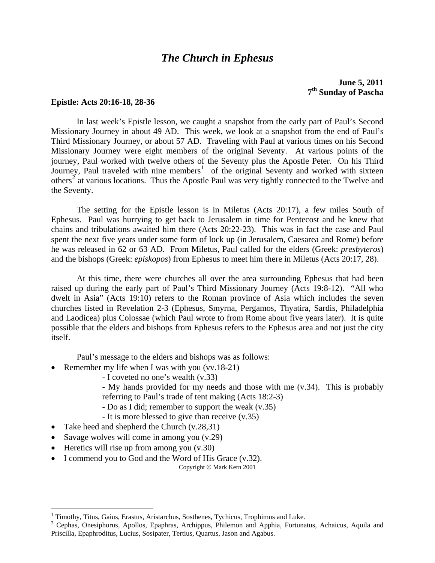## *The Church in Ephesus*

**June 5, 2011 7th Sunday of Pascha**

#### **Epistle: Acts 20:16-18, 28-36**

 In last week's Epistle lesson, we caught a snapshot from the early part of Paul's Second Missionary Journey in about 49 AD. This week, we look at a snapshot from the end of Paul's Third Missionary Journey, or about 57 AD. Traveling with Paul at various times on his Second Missionary Journey were eight members of the original Seventy. At various points of the journey, Paul worked with twelve others of the Seventy plus the Apostle Peter. On his Third Journey, Paul traveled with nine members<sup>[1](#page-2-0)</sup> of the original Seventy and worked with sixteen others<sup>[2](#page-2-1)</sup> at various locations. Thus the Apostle Paul was very tightly connected to the Twelve and the Seventy.

 The setting for the Epistle lesson is in Miletus (Acts 20:17), a few miles South of Ephesus. Paul was hurrying to get back to Jerusalem in time for Pentecost and he knew that chains and tribulations awaited him there (Acts 20:22-23). This was in fact the case and Paul spent the next five years under some form of lock up (in Jerusalem, Caesarea and Rome) before he was released in 62 or 63 AD. From Miletus, Paul called for the elders (Greek: *presbyteros*) and the bishops (Greek: *episkopos*) from Ephesus to meet him there in Miletus (Acts 20:17, 28).

 At this time, there were churches all over the area surrounding Ephesus that had been raised up during the early part of Paul's Third Missionary Journey (Acts 19:8-12). "All who dwelt in Asia" (Acts 19:10) refers to the Roman province of Asia which includes the seven churches listed in Revelation 2-3 (Ephesus, Smyrna, Pergamos, Thyatira, Sardis, Philadelphia and Laodicea) plus Colossae (which Paul wrote to from Rome about five years later). It is quite possible that the elders and bishops from Ephesus refers to the Ephesus area and not just the city itself.

Paul's message to the elders and bishops was as follows:

- Remember my life when I was with you (vv.18-21)
	- I coveted no one's wealth (v.33)

- My hands provided for my needs and those with me (v.34). This is probably referring to Paul's trade of tent making (Acts 18:2-3)

- Do as I did; remember to support the weak (v.35)

- It is more blessed to give than receive (v.35)

- Take heed and shepherd the Church (v.28,31)
- Savage wolves will come in among you  $(v.29)$
- Heretics will rise up from among you  $(v.30)$

 $\overline{a}$ 

• I commend you to God and the Word of His Grace (v.32).

Copyright © Mark Kern 2001

<span id="page-2-0"></span><sup>&</sup>lt;sup>1</sup> Timothy, Titus, Gaius, Erastus, Aristarchus, Sosthenes, Tychicus, Trophimus and Luke.<br><sup>2</sup> Cophes, Opesipherus, Apollos, Epephres, Archippus, Philamon and Applie, Eertupe

<span id="page-2-1"></span><sup>&</sup>lt;sup>2</sup> Cephas, Onesiphorus, Apollos, Epaphras, Archippus, Philemon and Apphia, Fortunatus, Achaicus, Aquila and Priscilla, Epaphroditus, Lucius, Sosipater, Tertius, Quartus, Jason and Agabus.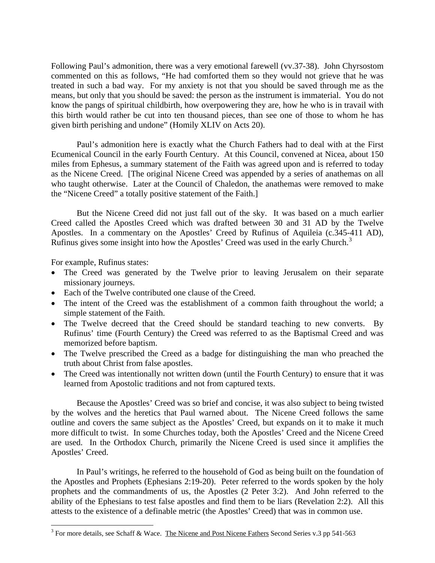Following Paul's admonition, there was a very emotional farewell (vv.37-38). John Chyrsostom commented on this as follows, "He had comforted them so they would not grieve that he was treated in such a bad way. For my anxiety is not that you should be saved through me as the means, but only that you should be saved: the person as the instrument is immaterial. You do not know the pangs of spiritual childbirth, how overpowering they are, how he who is in travail with this birth would rather be cut into ten thousand pieces, than see one of those to whom he has given birth perishing and undone" (Homily XLIV on Acts 20).

 Paul's admonition here is exactly what the Church Fathers had to deal with at the First Ecumenical Council in the early Fourth Century. At this Council, convened at Nicea, about 150 miles from Ephesus, a summary statement of the Faith was agreed upon and is referred to today as the Nicene Creed. [The original Nicene Creed was appended by a series of anathemas on all who taught otherwise. Later at the Council of Chaledon, the anathemas were removed to make the "Nicene Creed" a totally positive statement of the Faith.]

 But the Nicene Creed did not just fall out of the sky. It was based on a much earlier Creed called the Apostles Creed which was drafted between 30 and 31 AD by the Twelve Apostles. In a commentary on the Apostles' Creed by Rufinus of Aquileia (c.345-411 AD), Rufinus gives some insight into how the Apostles' Creed was used in the early Church.<sup>[3](#page-3-0)</sup>

For example, Rufinus states:

 $\overline{a}$ 

- The Creed was generated by the Twelve prior to leaving Jerusalem on their separate missionary journeys.
- Each of the Twelve contributed one clause of the Creed.
- The intent of the Creed was the establishment of a common faith throughout the world; a simple statement of the Faith.
- The Twelve decreed that the Creed should be standard teaching to new converts. By Rufinus' time (Fourth Century) the Creed was referred to as the Baptismal Creed and was memorized before baptism.
- The Twelve prescribed the Creed as a badge for distinguishing the man who preached the truth about Christ from false apostles.
- The Creed was intentionally not written down (until the Fourth Century) to ensure that it was learned from Apostolic traditions and not from captured texts.

 Because the Apostles' Creed was so brief and concise, it was also subject to being twisted by the wolves and the heretics that Paul warned about. The Nicene Creed follows the same outline and covers the same subject as the Apostles' Creed, but expands on it to make it much more difficult to twist. In some Churches today, both the Apostles' Creed and the Nicene Creed are used. In the Orthodox Church, primarily the Nicene Creed is used since it amplifies the Apostles' Creed.

 In Paul's writings, he referred to the household of God as being built on the foundation of the Apostles and Prophets (Ephesians 2:19-20). Peter referred to the words spoken by the holy prophets and the commandments of us, the Apostles (2 Peter 3:2). And John referred to the ability of the Ephesians to test false apostles and find them to be liars (Revelation 2:2). All this attests to the existence of a definable metric (the Apostles' Creed) that was in common use.

<span id="page-3-0"></span><sup>&</sup>lt;sup>3</sup> For more details, see Schaff & Wace. The Nicene and Post Nicene Fathers Second Series v.3 pp 541-563